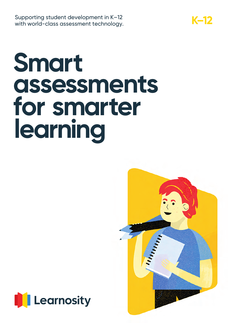**K–12** Supporting student development in K–12 with world-class assessment technology.

# **Smart assessments for smarter learning**



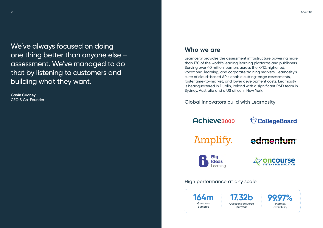### **Who we are**

Learnosity provides the assessment infrastructure powering more than 130 of the world's leading learning platforms and publishers. Serving over 40 million learners across the K-12, higher ed, vocational learning, and corporate training markets, Learnosity's suite of cloud-based APIs enable cutting-edge assessments, faster time-to-market, and lower development costs. Learnosity is headquartered in Dublin, Ireland with a significant R&D team in Sydney, Australia and a US office in New York.



## edmentum









### High performance at any scale

Global innovators build with Learnosity

## **Achievezooo**

Amplify.



We've always focused on doing one thing better than anyone else – assessment. We've managed to do that by listening to customers and building what they want.

**Gavin Cooney** CEO & Co-Founder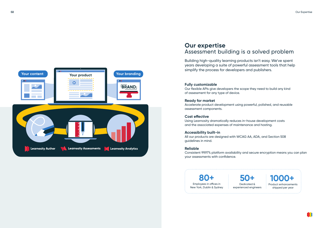### **Our expertise** Assessment building is a solved problem

Building high-quality learning products isn't easy. We've spent years developing a suite of powerful assessment tools that help simplify the process for developers and publishers.

#### **Fully customizable**

Our flexible APIs give developers the scope they need to build any kind of assessment for any type of device.

#### **Ready for market**

Accelerate product development using powerful, polished, and reusable assessment components.

#### **Cost effective**

Using Learnosity dramatically reduces in-house development costs and the associated expenses of maintenance and hosting.

#### **Accessibility built-in**

All our products are designed with WCAG AA, ADA, and Section 508 guidelines in mind.

#### **Reliable**

Consistent 99.97% platform availability and secure encryption means you can plan your assessments with confidence.

**80+** Employees in offices in New York, Dublin & Sydney

**50+** Dedicated &







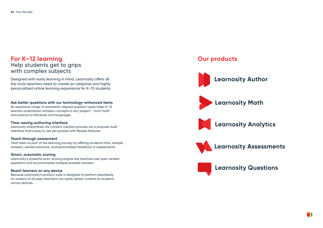### **For K–12 learning** Help students get to grips with complex subjects

Designed with early learning in mind, Learnosity offers all the tools teachers need to create an adaptive and highly personalized online learning experience for K–12 students.

#### **Ask better questions with our technology-enhanced items**

An expansive range of standards-aligned question types helps K–12 learners understand complex concepts in any subject – from math and science to literature and languages.

#### **Time-saving authoring interface**

Learnosity streamlines the content creation process via a purpose-built interface that's easy to use yet packed with flexible features.

#### **Teach through assessment**

Treat tests as part of the learning journey by offering students hints, sample answers, worked solutions, and personalized feedback in assessments.

#### **Smart, automatic scoring**

Learnosity's powerful auto-scoring engine lets teachers ask open-ended questions and accommodate multiple possible answers.

#### **Reach learners on any device**

Because Learnosity's product suite is designed to perform seamlessly on screens of all sizes, teachers can easily deliver content to students across devices.

## **Learnosity Analytics**



### **Learnosity Assessments**

## **Learnosity Questions**

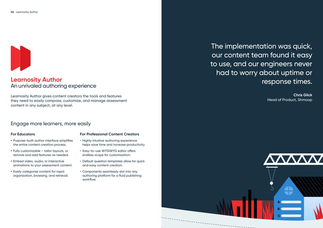### **Learnosity Author** An unrivaled authoring experience

Learnosity Author gives content creators the tools and features they need to easily compose, customize, and manage assessment content in any subject, at any level.

### Engage more learners, more easily



## The implementation was quick, our content team found it easy to use, and our engineers never had to worry about uptime or response times.

**Chris Glick** Head of Product, Shmoop



### **For Educators**

- **•** Purpose-built author interface simplifies the entire content creation process.
- **•** Fully customizable tailor layouts, or remove and add features as needed.
- **•** Embed video, audio, or interactive animations to your assessment content.
- **•** Easily categorize content for rapid organization, browsing, and retrieval.

### **For Professional Content Creators**

- Highly intuitive authoring experience helps save time and increase productivity.
- Easy-to-use WYSIWYG editor offers endless scope for customization.
- Default question templates allow for quick and easy content creation.
- Components seamlessly slot into any authoring platform for a fluid publishing workflow.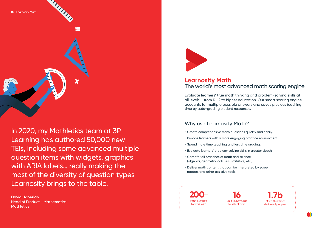In 2020, my Mathletics team at 3P Learning has authored 50,000 new TEIs, including some advanced multiple question items with widgets, graphics with ARIA labels… really making the most of the diversity of question types Learnosity brings to the table.

### **David Haberlah** Head of Product - Mathematics, **Mathletics**



### **Learnosity Math** The world's most advanced math scoring engine

Evaluate learners' true math thinking and problem-solving skills at all levels – from K-12 to higher education. Our smart scoring engine accounts for multiple possible answers and saves precious teaching time by auto-grading student responses.

### Why use Learnosity Math?

- Create comprehensive math questions quickly and easily.
- Provide learners with a more engaging practice environment.
- Spend more time teaching and less time grading.
- Evaluate learners' problem-solving skills in greater depth.
- Cater for all branches of math and science (algebra, geometry, calculus, statistics, etc.).
- Deliver math content that can be interpreted by screen readers and other assistive tools.





**16** Built-in Keypads to select from

**1.7b** Math Questions delivered per year

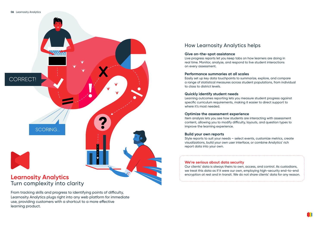

### From tracking skills and progress to identifying points of difficulty, Learnosity Analytics plugs right into any web platform for immediate use, providing customers with a shortcut to a more effective learning product.

### How Learnosity Analytics helps

#### **Give on-the-spot assistance**

Live progress reports let you keep tabs on how learners are doing in real time. Monitor, analyze, and respond to live student interactions on every assessment.

#### **Performance summaries at all scales**

Easily set up key data touchpoints to summarize, explore, and compare a range of statistical measures across student populations, from individual to class to district levels.

#### **Quickly identify student needs**

Learning outcomes reporting lets you measure student progress against specific curriculum requirements, making it easier to direct support to where it's most needed.

#### **Optimize the assessment experience**

Item analysis lets you see how students are interacting with assessment content, allowing you to modify difficulty, layouts, and question types to improve the learning experience.

#### **Build your own reports**

Style reports to suit your needs – select events, customize metrics, create visualizations, build your own user interface, or combine Analytics' rich report data into your own.

#### **We're serious about data security**

Our clients' data is always theirs to own, access, and control. As custodians, we treat this data as if it were our own, employing high-security end-to-end encryption at rest and in transit. We do not share clients' data for any reason.

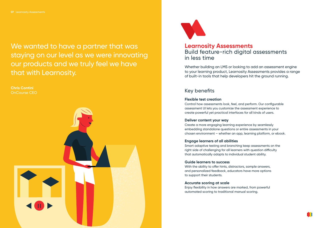We wanted to have a partner that was staying on our level as we were innovating our products and we truly feel we have that with Learnosity.

**Chris Contini** OnCourse CEO





### **Learnosity Assessments** Build feature-rich digital assessments in less time

Whether building an LMS or looking to add an assessment engine to your learning product, Learnosity Assessments provides a range of built-in tools that help developers hit the ground running.

### Key benefits

#### **Flexible test creation**

Control how assessments look, feel, and perform. Our configurable assessment UI lets you customize the assessment experience to create powerful yet practical interfaces for all kinds of users.

#### **Deliver content your way**

Create a more engaging learning experience by seamlessly embedding standalone questions or entire assessments in your chosen environment – whether an app, learning platform, or ebook.

### **Engage learners of all abilities**

Smart adaptive testing and branching keep assessments on the right side of challenging for all learners with question difficulty that automatically adapts to individual student ability.

#### **Guide learners to success**

With the ability to offer hints, distractors, sample answers, and personalized feedback, educators have more options to support their students.

#### **Accurate scoring at scale**

Enjoy flexibility in how answers are marked, from powerful automated scoring to traditional manual scoring.

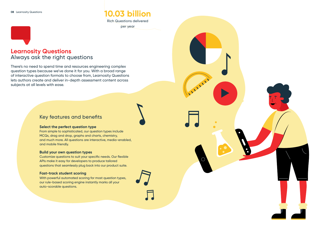### **Learnosity Questions** Always ask the right questions

There's no need to spend time and resources engineering complex question types because we've done it for you. With a broad range of interactive question formats to choose from, Learnosity Questions lets authors create and deliver in-depth assessment content across subjects at all levels with ease.

### Key features and benefits

### **Select the perfect question type**

From simple to sophisticated, our question types include MCQs, drag and drop, graphs and charts, chemistry, and much more. All questions are interactive, media-enabled, and mobile friendly.

#### **Build your own question types**

Customize questions to suit your specific needs. Our flexible APIs make it easy for developers to produce tailored questions that seamlessly plug back into our product suite.

### **Fast-track student scoring**

With powerful automated scoring for most question types, our rule-based scoring engine instantly marks all your auto-scorable questions.



ILLE



## **10.03 billion**

Rich Questions delivered per year

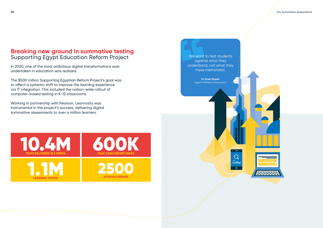We want to test students against what they understand, not what they have memorized.

We want to test students against what they understand, not what they

**Dr Tarek Shawki** Egypt's Minister of Education

10.4M S DELIVERED IN 3 WEEKS 600K PEAK CONCURRENT USERS LEARNERS TESTED **LEADNEDS TESTE** 25 SCHOOL S SERVED **OO** 

#### **09** Our Summative Assessments



ينحث

 $\overline{\circ}$ 

Working in partnership with Pearson, Learnosity was instrumental in the project's success, delivering digital summative assessments to over a million learners.

### **Breaking new ground in summative testing** Supporting Egypt Education Reform Project

In 2020, one of the most ambitious digital transformations ever undertaken in education was realized.

The \$500 million Supporting Egyptian Reform Project's goal was to affect a systemic shift to improve the learning experience via IT integration. This included the nation-wide rollout of computer-based testing in K-12 classrooms.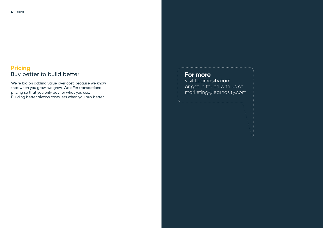### **Pricing** Buy better to build better

We're big on adding value over cost because we know that when you grow, we grow. We offer transactional pricing so that you only pay for what you use. Building better always costs less when you buy better.

**For more** visit Learnosity.com or get in touch with us at marketing@learnosity.com